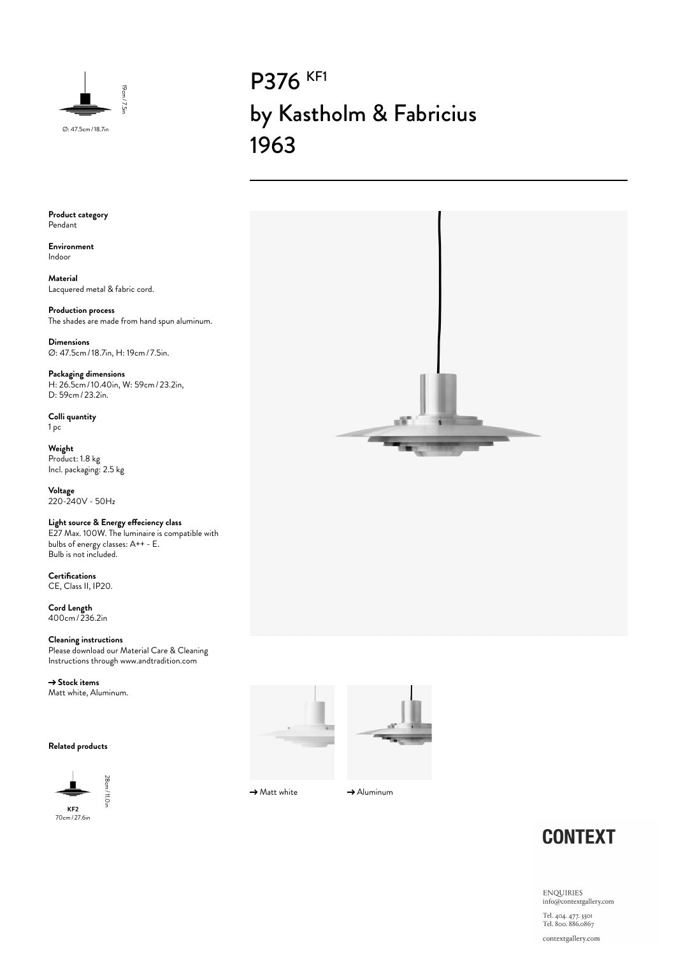

# P376 KF1 by Kastholm & Fabricius 1963

**Product category** Pendant

**Environment** Indoor

**Material** Lacquered metal & fabric cord.

**Production process** The shades are made from hand spun aluminum.

**Dimensions** Ø: 47.5cm/18.7in, H: 19cm/ 7.5in.

**Packaging dimensions** H: 26.5cm/10.40in, W: 59cm/23.2in, D: 59cm/23.2in.

**Colli quantity** 1 pc

**Weight** Product: 1.8 kg Incl. packaging: 2.5 kg

**Voltage** 220-240V - 50Hz

### **Light source & Energy effeciency class**

E27 Max. 100W. The luminaire is compatible with bulbs of energy classes: A++ - E. Bulb is not included.

**Certifications** CE, Class II, IP20.

**Cord Length** 400cm/236.2in

**Cleaning instructions** Please download our Material Care & Cleaning Instructions through www.andtradition.com

→ Stock items Matt white, Aluminum.

#### **Related products**







оW

 $\rightarrow$  Matt white  $\rightarrow$  Aluminum



**ENQUIRIES** info@contextgallery.com Tel. 404. 477. 3301<br>Tel. 800. 886.0867

contextgallery.com